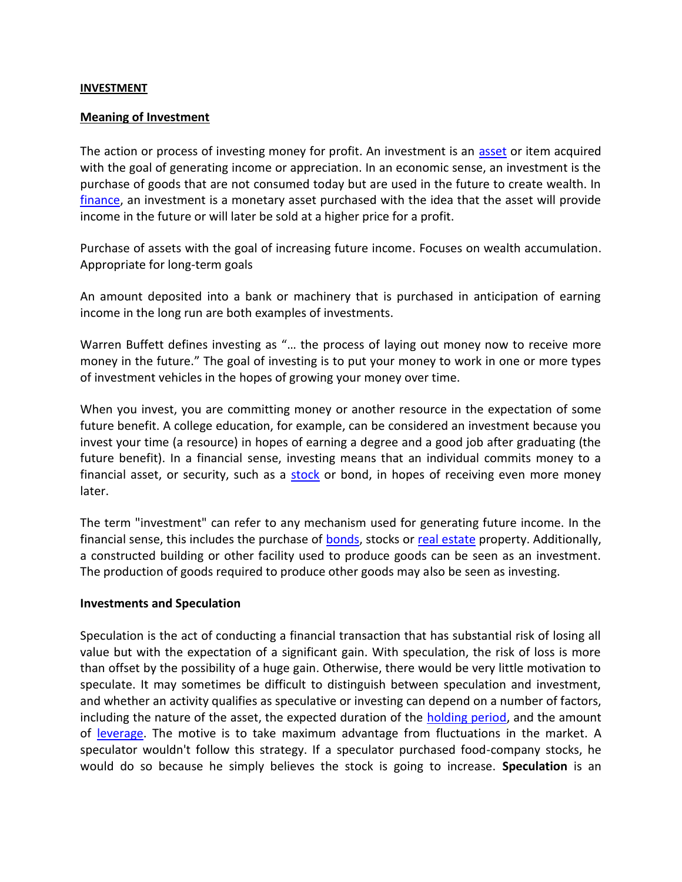#### **INVESTMENT**

#### **Meaning of Investment**

The action or process of investing money for profit. An investment is an [asset](https://www.investopedia.com/terms/a/asset.asp) or item acquired with the goal of generating income or appreciation. In an economic sense, an investment is the purchase of goods that are not consumed today but are used in the future to create wealth. In [finance,](https://www.investopedia.com/terms/f/finance.asp) an investment is a monetary asset purchased with the idea that the asset will provide income in the future or will later be sold at a higher price for a profit.

Purchase of assets with the goal of increasing future income. Focuses on wealth accumulation. Appropriate for long-term goals

An amount deposited into a bank or machinery that is purchased in anticipation of earning income in the long run are both examples of investments.

Warren Buffett defines investing as "… the process of laying out money now to receive more money in the future." The goal of investing is to put your money to work in one or more types of investment vehicles in the hopes of growing your money over time.

When you invest, you are committing money or another resource in the expectation of some future benefit. A college education, for example, can be considered an investment because you invest your time (a resource) in hopes of earning a degree and a good job after graduating (the future benefit). In a financial sense, investing means that an individual commits money to a financial asset, or security, such as a [stock](https://www.valuepenguin.com/investing/what-are-stocks) or bond, in hopes of receiving even more money later.

The term "investment" can refer to any mechanism used for generating future income. In the financial sense, this includes the purchase of [bonds,](https://www.investopedia.com/terms/b/bond.asp) stocks or [real estate](https://www.investopedia.com/terms/r/realestate.asp) property. Additionally, a constructed building or other facility used to produce goods can be seen as an investment. The production of goods required to produce other goods may also be seen as investing.

#### **Investments and Speculation**

Speculation is the act of conducting a financial transaction that has substantial risk of losing all value but with the expectation of a significant gain. With speculation, the risk of loss is more than offset by the possibility of a huge gain. Otherwise, there would be very little motivation to speculate. It may sometimes be difficult to distinguish between speculation and investment, and whether an activity qualifies as speculative or investing can depend on a number of factors, including the nature of the asset, the expected duration of the [holding period,](https://www.investopedia.com/terms/h/holdingperiod.asp) and the amount of [leverage.](https://www.investopedia.com/terms/l/leverage.asp) The motive is to take maximum advantage from fluctuations in the market. A speculator wouldn't follow this strategy. If a speculator purchased food-company stocks, he would do so because he simply believes the stock is going to increase. **Speculation** is an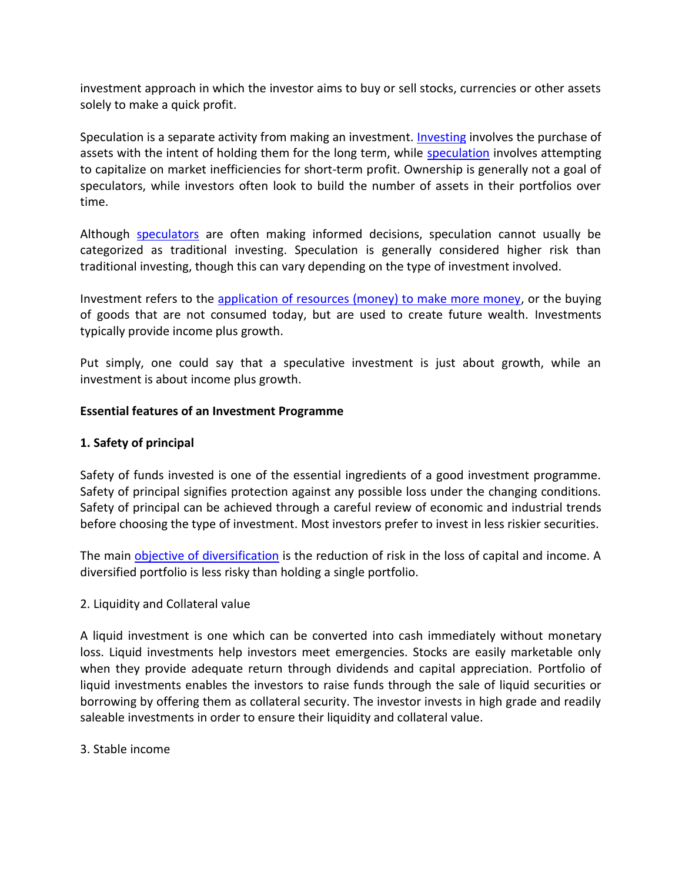investment approach in which the investor aims to buy or sell stocks, currencies or other assets solely to make a quick profit.

Speculation is a separate activity from making an investment. [Investing](https://www.investopedia.com/terms/i/investing.asp) involves the purchase of assets with the intent of holding them for the long term, while [speculation](https://www.investopedia.com/terms/s/speculation.asp) involves attempting to capitalize on market inefficiencies for short-term profit. Ownership is generally not a goal of speculators, while investors often look to build the number of assets in their portfolios over time.

Although [speculators](https://www.investopedia.com/terms/s/speculator.asp) are often making informed decisions, speculation cannot usually be categorized as traditional investing. Speculation is generally considered higher risk than traditional investing, though this can vary depending on the type of investment involved.

Investment refers to the [application of resources \(money\) to make more money,](https://marketbusinessnews.com/financial-glossary/investment/) or the buying of goods that are not consumed today, but are used to create future wealth. Investments typically provide income plus growth.

Put simply, one could say that a speculative investment is just about growth, while an investment is about income plus growth.

## **Essential features of an Investment Programme**

# **1. Safety of principal**

Safety of funds invested is one of the essential ingredients of a good investment programme. Safety of principal signifies protection against any possible loss under the changing conditions. Safety of principal can be achieved through a careful review of economic and industrial trends before choosing the type of investment. Most investors prefer to invest in less riskier securities.

The main [objective of diversification](https://accountlearning.com/how-do-business-diversification-affect-performance-of-company/) is the reduction of risk in the loss of capital and income. A diversified portfolio is less risky than holding a single portfolio.

## 2. Liquidity and Collateral value

A liquid investment is one which can be converted into cash immediately without monetary loss. Liquid investments help investors meet emergencies. Stocks are easily marketable only when they provide adequate return through dividends and capital appreciation. Portfolio of liquid investments enables the investors to raise funds through the sale of liquid securities or borrowing by offering them as collateral security. The investor invests in high grade and readily saleable investments in order to ensure their liquidity and collateral value.

3. Stable income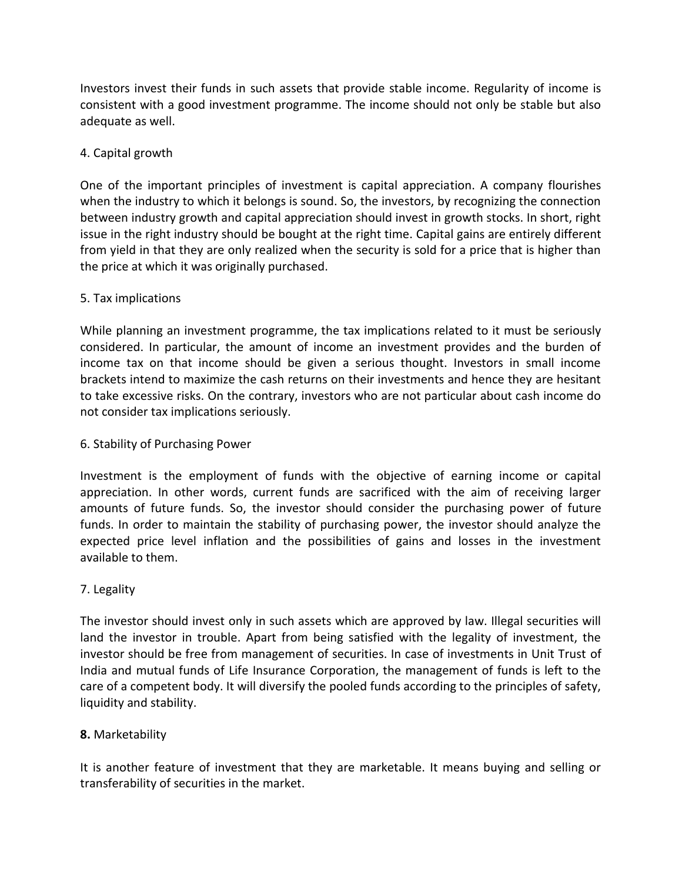Investors invest their funds in such assets that provide stable income. Regularity of income is consistent with a good investment programme. The income should not only be stable but also adequate as well.

# 4. Capital growth

One of the important principles of investment is capital appreciation. A company flourishes when the industry to which it belongs is sound. So, the investors, by recognizing the connection between industry growth and capital appreciation should invest in growth stocks. In short, right issue in the right industry should be bought at the right time. Capital gains are entirely different from yield in that they are only realized when the security is sold for a price that is higher than the price at which it was originally purchased.

# 5. Tax implications

While planning an investment programme, the tax implications related to it must be seriously considered. In particular, the amount of income an investment provides and the burden of income tax on that income should be given a serious thought. Investors in small income brackets intend to maximize the cash returns on their investments and hence they are hesitant to take excessive risks. On the contrary, investors who are not particular about cash income do not consider tax implications seriously.

# 6. Stability of Purchasing Power

Investment is the employment of funds with the objective of earning income or capital appreciation. In other words, current funds are sacrificed with the aim of receiving larger amounts of future funds. So, the investor should consider the purchasing power of future funds. In order to maintain the stability of purchasing power, the investor should analyze the expected price level inflation and the possibilities of gains and losses in the investment available to them.

# 7. Legality

The investor should invest only in such assets which are approved by law. Illegal securities will land the investor in trouble. Apart from being satisfied with the legality of investment, the investor should be free from management of securities. In case of investments in Unit Trust of India and mutual funds of Life Insurance Corporation, the management of funds is left to the care of a competent body. It will diversify the pooled funds according to the principles of safety, liquidity and stability.

# **8.** Marketability

It is another feature of investment that they are marketable. It means buying and selling or transferability of securities in the market.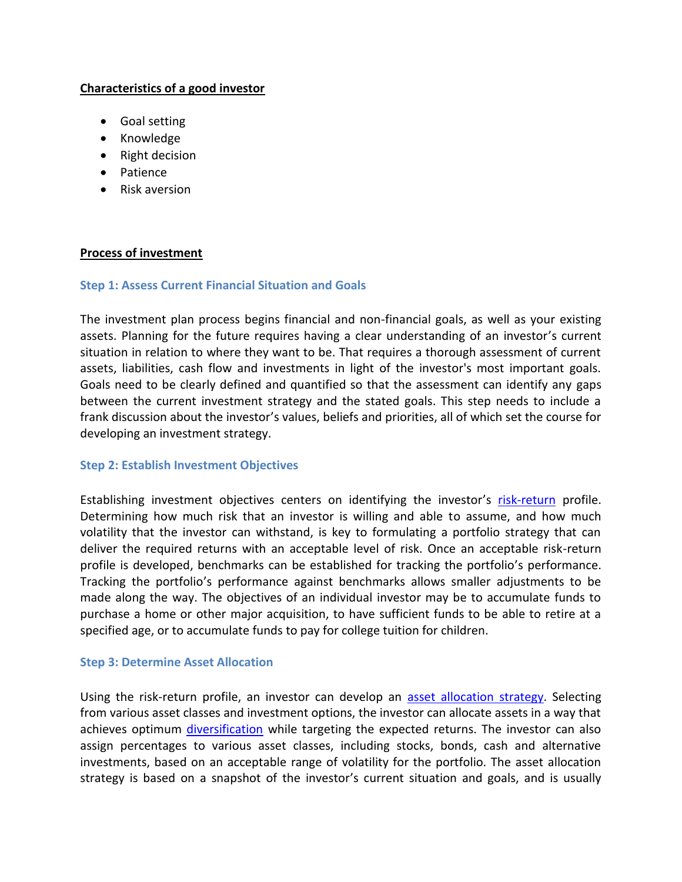## **Characteristics of a good investor**

- Goal setting
- Knowledge
- Right decision
- Patience
- Risk aversion

#### **Process of investment**

#### **Step 1: Assess Current Financial Situation and Goals**

The investment plan process begins financial and non-financial goals, as well as your existing assets. Planning for the future requires having a clear understanding of an investor's current situation in relation to where they want to be. That requires a thorough assessment of current assets, liabilities, cash flow and investments in light of the investor's most important goals. Goals need to be clearly defined and quantified so that the assessment can identify any gaps between the current investment strategy and the stated goals. This step needs to include a frank discussion about the investor's values, beliefs and priorities, all of which set the course for developing an investment strategy.

## **Step 2: Establish Investment Objectives**

Establishing investment objectives centers on identifying the investor's [risk-return](https://www.investopedia.com/university/concepts/concepts1.asp) profile. Determining how much risk that an investor is willing and able to assume, and how much volatility that the investor can withstand, is key to formulating a portfolio strategy that can deliver the required returns with an acceptable level of risk. Once an acceptable risk-return profile is developed, benchmarks can be established for tracking the portfolio's performance. Tracking the portfolio's performance against benchmarks allows smaller adjustments to be made along the way. The objectives of an individual investor may be to accumulate funds to purchase a home or other major acquisition, to have sufficient funds to be able to retire at a specified age, or to accumulate funds to pay for college tuition for children.

#### **Step 3: Determine Asset Allocation**

Using the risk-return profile, an investor can develop an [asset allocation strategy.](https://www.investopedia.com/investing/6-asset-allocation-strategies-work/) Selecting from various asset classes and investment options, the investor can allocate assets in a way that achieves optimum [diversification](https://www.investopedia.com/investing/importance-diversification/) while targeting the expected returns. The investor can also assign percentages to various asset classes, including stocks, bonds, cash and alternative investments, based on an acceptable range of volatility for the portfolio. The asset allocation strategy is based on a snapshot of the investor's current situation and goals, and is usually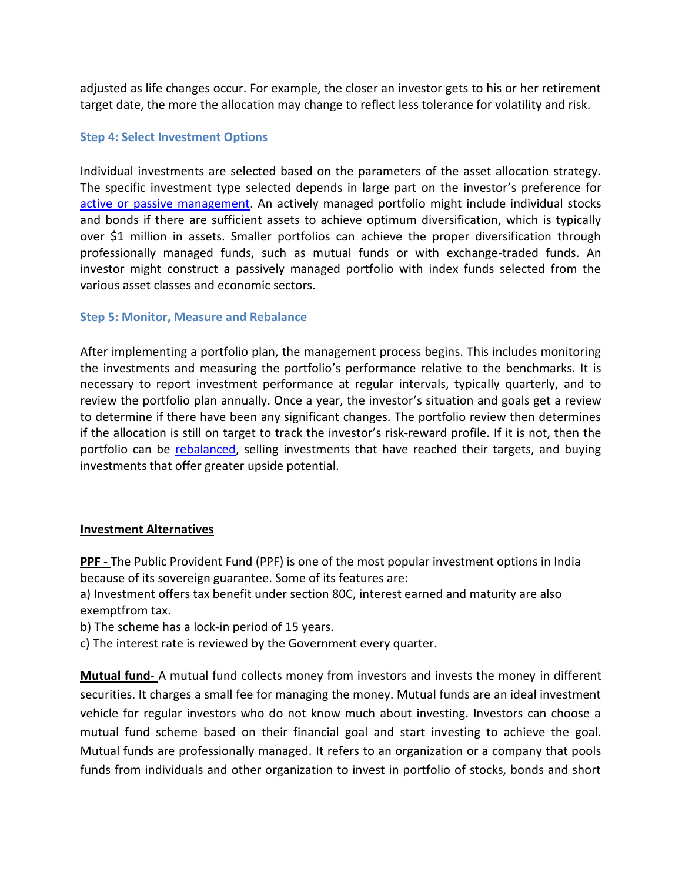adjusted as life changes occur. For example, the closer an investor gets to his or her retirement target date, the more the allocation may change to reflect less tolerance for volatility and risk.

#### **Step 4: Select Investment Options**

Individual investments are selected based on the parameters of the asset allocation strategy. The specific investment type selected depends in large part on the investor's preference for [active or passive management.](https://www.investopedia.com/ask/answers/040315/what-difference-between-passive-and-active-portfolio-management.asp) An actively managed portfolio might include individual stocks and bonds if there are sufficient assets to achieve optimum diversification, which is typically over \$1 million in assets. Smaller portfolios can achieve the proper diversification through professionally managed funds, such as mutual funds or with exchange-traded funds. An investor might construct a passively managed portfolio with index funds selected from the various asset classes and economic sectors.

#### **Step 5: Monitor, Measure and Rebalance**

After implementing a portfolio plan, the management process begins. This includes monitoring the investments and measuring the portfolio's performance relative to the benchmarks. It is necessary to report investment performance at regular intervals, typically quarterly, and to review the portfolio plan annually. Once a year, the investor's situation and goals get a review to determine if there have been any significant changes. The portfolio review then determines if the allocation is still on target to track the investor's risk-reward profile. If it is not, then the portfolio can be [rebalanced,](https://www.investopedia.com/articles/pf/05/051105.asp) selling investments that have reached their targets, and buying investments that offer greater upside potential.

#### **Investment Alternatives**

**PPF -** The Public Provident Fund (PPF) is one of the most popular investment options in India because of its sovereign guarantee. Some of its features are:

a) Investment offers tax benefit under section 80C, interest earned and maturity are also exemptfrom tax.

- b) The scheme has a lock-in period of 15 years.
- c) The interest rate is reviewed by the Government every quarter.

**Mutual fund-** A mutual fund collects money from investors and invests the money in different securities. It charges a small fee for managing the money. Mutual funds are an ideal investment vehicle for regular investors who do not know much about investing. Investors can choose a mutual fund scheme based on their financial goal and start investing to achieve the goal. Mutual funds are professionally managed. It refers to an organization or a company that pools funds from individuals and other organization to invest in portfolio of stocks, bonds and short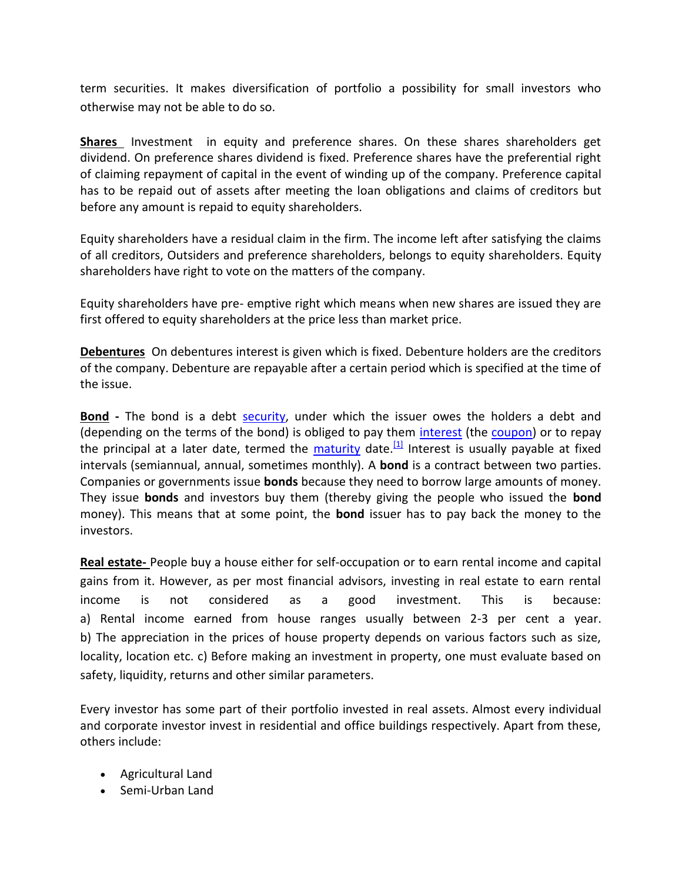term securities. It makes diversification of portfolio a possibility for small investors who otherwise may not be able to do so.

**Shares** Investment in equity and preference shares. On these shares shareholders get dividend. On preference shares dividend is fixed. Preference shares have the preferential right of claiming repayment of capital in the event of winding up of the company. Preference capital has to be repaid out of assets after meeting the loan obligations and claims of creditors but before any amount is repaid to equity shareholders.

Equity shareholders have a residual claim in the firm. The income left after satisfying the claims of all creditors, Outsiders and preference shareholders, belongs to equity shareholders. Equity shareholders have right to vote on the matters of the company.

Equity shareholders have pre- emptive right which means when new shares are issued they are first offered to equity shareholders at the price less than market price.

**Debentures** On debentures interest is given which is fixed. Debenture holders are the creditors of the company. Debenture are repayable after a certain period which is specified at the time of the issue.

**Bond -** The bond is a debt [security,](https://en.wikipedia.org/wiki/Security_(finance)) under which the issuer owes the holders a debt and (depending on the terms of the bond) is obliged to pay them [interest](https://en.wikipedia.org/wiki/Interest) (the [coupon\)](https://en.wikipedia.org/wiki/Coupon_(bond)) or to repay the principal at a later date, termed the [maturity](https://en.wikipedia.org/wiki/Maturity_(finance)) date.  $[1]$  Interest is usually payable at fixed intervals (semiannual, annual, sometimes monthly). A **bond** is a contract between two parties. Companies or governments issue **bonds** because they need to borrow large amounts of money. They issue **bonds** and investors buy them (thereby giving the people who issued the **bond** money). This means that at some point, the **bond** issuer has to pay back the money to the investors.

**Real estate-** People buy a house either for self-occupation or to earn rental income and capital gains from it. However, as per most financial advisors, investing in real estate to earn rental income is not considered as a good investment. This is because: a) Rental income earned from house ranges usually between 2-3 per cent a year. b) The appreciation in the prices of house property depends on various factors such as size, locality, location etc. c) Before making an investment in property, one must evaluate based on safety, liquidity, returns and other similar parameters.

Every investor has some part of their portfolio invested in real assets. Almost every individual and corporate investor invest in residential and office buildings respectively. Apart from these, others include:

- Agricultural Land
- Semi-Urban Land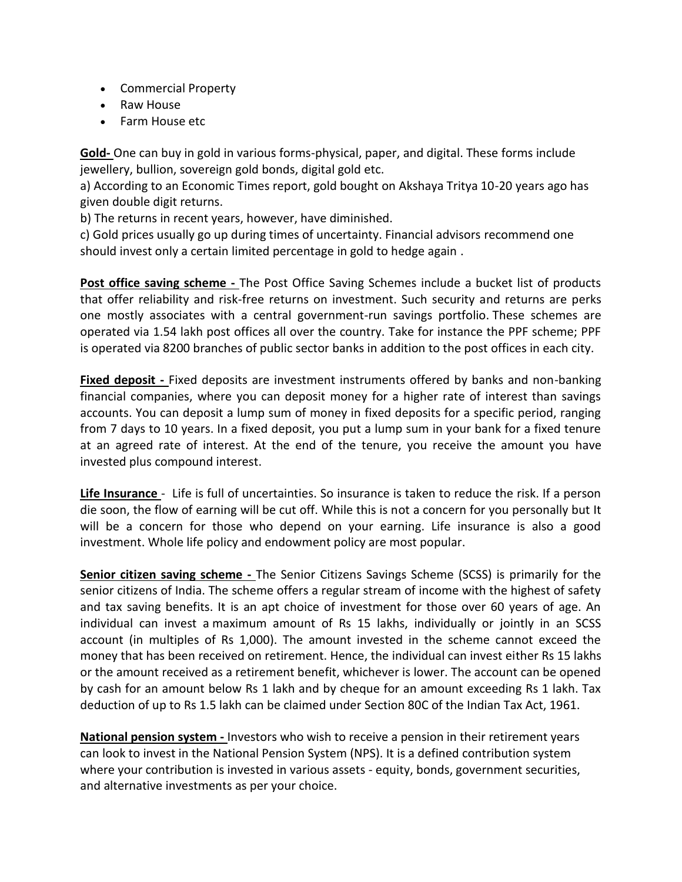- Commercial Property
- Raw House
- Farm House etc

**Gold-** One can buy in gold in various forms-physical, paper, and digital. These forms include jewellery, bullion, sovereign gold bonds, digital gold etc.

a) According to an Economic Times report, gold bought on Akshaya Tritya 10-20 years ago has given double digit returns.

b) The returns in recent years, however, have diminished.

c) Gold prices usually go up during times of uncertainty. Financial advisors recommend one should invest only a certain limited percentage in gold to hedge again .

**Post office saving scheme -** The Post Office Saving Schemes include a bucket list of products that offer reliability and risk-free returns on investment. Such security and returns are perks one mostly associates with a central government-run savings portfolio. These schemes are operated via 1.54 lakh post offices all over the country. Take for instance the PPF scheme; PPF is operated via 8200 branches of public sector banks in addition to the post offices in each city.

Fixed deposit - Fixed deposits are investment instruments offered by banks and non-banking financial companies, where you can deposit money for a higher rate of interest than savings accounts. You can deposit a lump sum of money in fixed deposits for a specific period, ranging from 7 days to 10 years. In a fixed deposit, you put a lump sum in your bank for a fixed tenure at an agreed rate of interest. At the end of the tenure, you receive the amount you have invested plus compound interest.

**Life Insurance** - Life is full of uncertainties. So insurance is taken to reduce the risk. If a person die soon, the flow of earning will be cut off. While this is not a concern for you personally but It will be a concern for those who depend on your earning. Life insurance is also a good investment. Whole life policy and endowment policy are most popular.

**Senior citizen saving scheme -** The Senior Citizens Savings Scheme (SCSS) is primarily for the senior citizens of India. The scheme offers a regular stream of income with the highest of safety and tax saving benefits. It is an apt choice of investment for those over 60 years of age. An individual can invest a maximum amount of Rs 15 lakhs, individually or jointly in an SCSS account (in multiples of Rs 1,000). The amount invested in the scheme cannot exceed the money that has been received on retirement. Hence, the individual can invest either Rs 15 lakhs or the amount received as a retirement benefit, whichever is lower. The account can be opened by cash for an amount below Rs 1 lakh and by cheque for an amount exceeding Rs 1 lakh. Tax deduction of up to Rs 1.5 lakh can be claimed under Section 80C of the Indian Tax Act, 1961.

**National pension system -** Investors who wish to receive a pension in their retirement years can look to invest in the National Pension System (NPS). It is a defined contribution system where your contribution is invested in various assets - equity, bonds, government securities, and alternative investments as per your choice.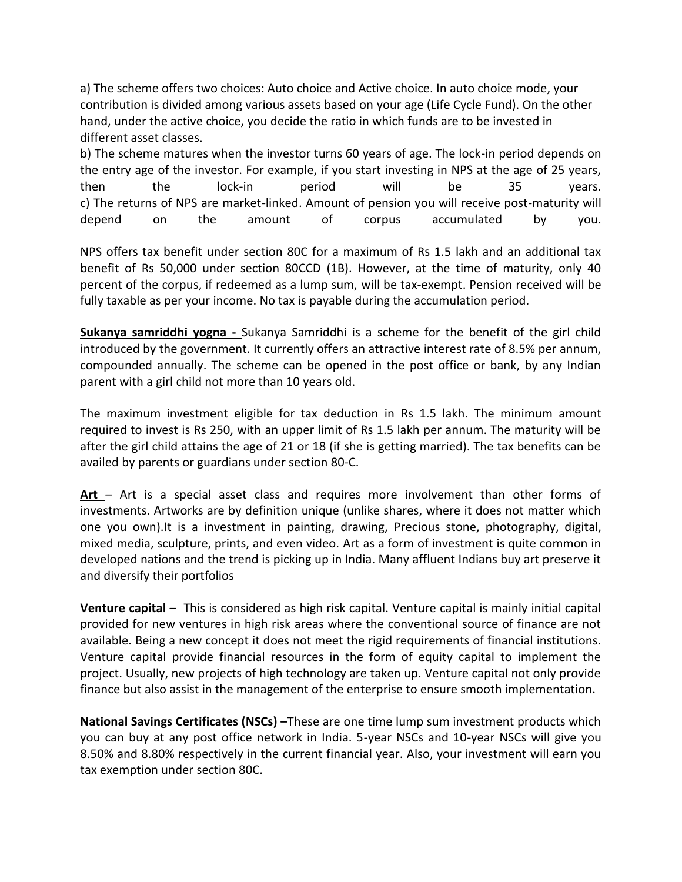a) The scheme offers two choices: Auto choice and Active choice. In auto choice mode, your contribution is divided among various assets based on your age (Life Cycle Fund). On the other hand, under the active choice, you decide the ratio in which funds are to be invested in different asset classes.

b) The scheme matures when the investor turns 60 years of age. The lock-in period depends on the entry age of the investor. For example, if you start investing in NPS at the age of 25 years, then the lock-in period will be 35 years. c) The returns of NPS are market-linked. Amount of pension you will receive post-maturity will depend on the amount of corpus accumulated by you.

NPS offers tax benefit under section 80C for a maximum of Rs 1.5 lakh and an additional tax benefit of Rs 50,000 under section 80CCD (1B). However, at the time of maturity, only 40 percent of the corpus, if redeemed as a lump sum, will be tax-exempt. Pension received will be fully taxable as per your income. No tax is payable during the accumulation period.

**Sukanya samriddhi yogna -** Sukanya Samriddhi is a scheme for the benefit of the girl child introduced by the government. It currently offers an attractive interest rate of 8.5% per annum, compounded annually. The scheme can be opened in the post office or bank, by any Indian parent with a girl child not more than 10 years old.

The maximum investment eligible for tax deduction in Rs 1.5 lakh. The minimum amount required to invest is Rs 250, with an upper limit of Rs 1.5 lakh per annum. The maturity will be after the girl child attains the age of 21 or 18 (if she is getting married). The tax benefits can be availed by parents or guardians under section 80-C.

**Art** – Art is a special asset class and requires more involvement than other forms of investments. Artworks are by definition unique (unlike shares, where it does not matter which one you own).It is a investment in painting, drawing, Precious stone, photography, digital, mixed media, sculpture, prints, and even video. Art as a form of investment is quite common in developed nations and the trend is picking up in India. Many affluent Indians buy art preserve it and diversify their portfolios

**Venture capital** – This is considered as high risk capital. Venture capital is mainly initial capital provided for new ventures in high risk areas where the conventional source of finance are not available. Being a new concept it does not meet the rigid requirements of financial institutions. Venture capital provide financial resources in the form of equity capital to implement the project. Usually, new projects of high technology are taken up. Venture capital not only provide finance but also assist in the management of the enterprise to ensure smooth implementation.

**National Savings Certificates (NSCs) –**These are one time lump sum investment products which you can buy at any post office network in India. 5-year NSCs and 10-year NSCs will give you 8.50% and 8.80% respectively in the current financial year. Also, your investment will earn you tax exemption under section 80C.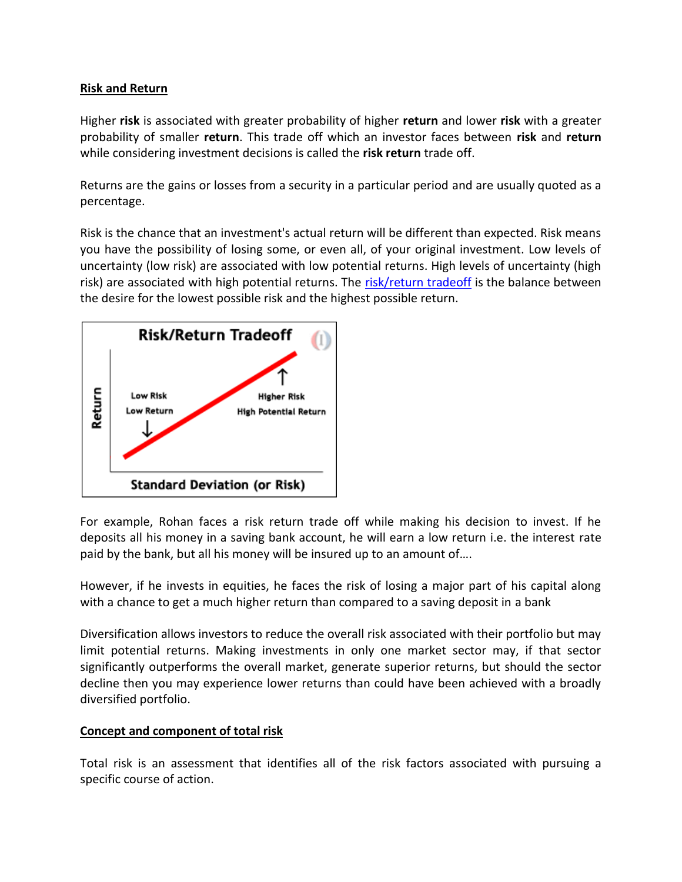## **Risk and Return**

Higher **risk** is associated with greater probability of higher **return** and lower **risk** with a greater probability of smaller **return**. This trade off which an investor faces between **risk** and **return** while considering investment decisions is called the **risk return** trade off.

Returns are the gains or losses from a security in a particular period and are usually quoted as a percentage.

Risk is the chance that an investment's actual return will be different than expected. Risk means you have the possibility of losing some, or even all, of your original investment. Low levels of uncertainty (low risk) are associated with low potential returns. High levels of uncertainty (high risk) are associated with high potential returns. The [risk/return tradeoff](https://www.investopedia.com/terms/r/riskreturntradeoff.asp) is the balance between the desire for the lowest possible risk and the highest possible return.



For example, Rohan faces a risk return trade off while making his decision to invest. If he deposits all his money in a saving bank account, he will earn a low return i.e. the interest rate paid by the bank, but all his money will be insured up to an amount of….

However, if he invests in equities, he faces the risk of losing a major part of his capital along with a chance to get a much higher return than compared to a saving deposit in a bank

Diversification allows investors to reduce the overall risk associated with their portfolio but may limit potential returns. Making investments in only one market sector may, if that sector significantly outperforms the overall market, generate superior returns, but should the sector decline then you may experience lower returns than could have been achieved with a broadly diversified portfolio.

# **Concept and component of total risk**

Total risk is an assessment that identifies all of the risk factors associated with pursuing a specific course of action.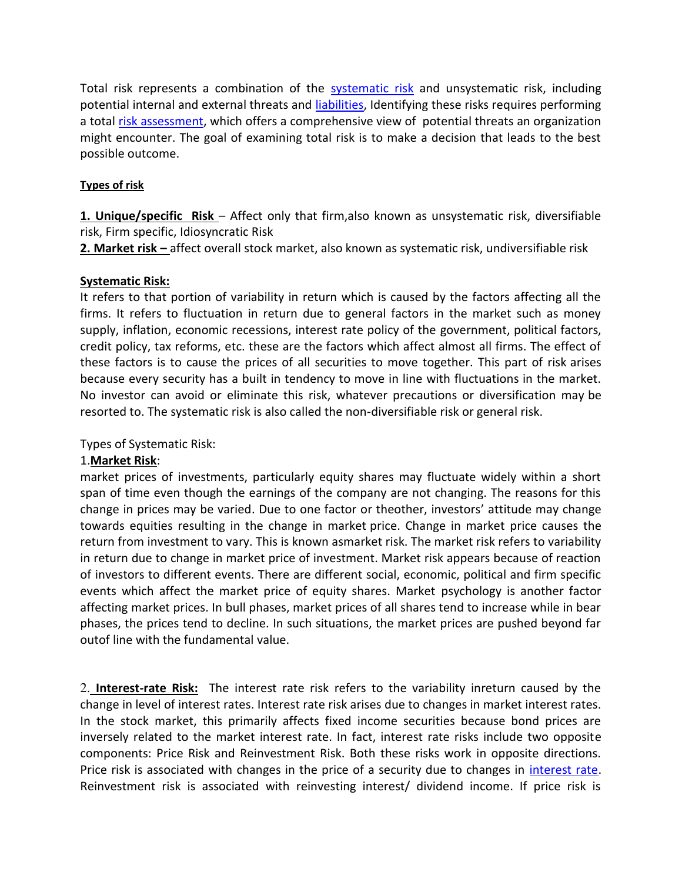Total risk represents a combination of the [systematic risk](https://searchcompliance.techtarget.com/definition/systemic-risk) and unsystematic risk, including potential internal and external threats and [liabilities,](https://searcherp.techtarget.com/definition/asset-liability-management) Identifying these risks requires performing a total [risk assessment,](https://searchsecurity.techtarget.com/definition/risk-analysis) which offers a comprehensive view of potential threats an organization might encounter. The goal of examining total risk is to make a decision that leads to the best possible outcome.

## **Types of risk**

**1. Unique/specific Risk** – Affect only that firm,also known as unsystematic risk, diversifiable risk, Firm specific, Idiosyncratic Risk

**2. Market risk –** affect overall stock market, also known as systematic risk, undiversifiable risk

## **Systematic Risk:**

It refers to that portion of variability in return which is caused by the factors affecting all the firms. It refers to fluctuation in return due to general factors in the market such as money supply, inflation, economic recessions, interest rate policy of the government, political factors, credit policy, tax reforms, etc. these are the factors which affect almost all firms. The effect of these factors is to cause the prices of all securities to move together. This part of risk arises because every security has a built in tendency to move in line with fluctuations in the market. No investor can avoid or eliminate this risk, whatever precautions or diversification may be resorted to. The systematic risk is also called the non-diversifiable risk or general risk.

Types of Systematic Risk:

# 1.**Market Risk**:

market prices of investments, particularly equity shares may fluctuate widely within a short span of time even though the earnings of the company are not changing. The reasons for this change in prices may be varied. Due to one factor or theother, investors' attitude may change towards equities resulting in the change in market price. Change in market price causes the return from investment to vary. This is known asmarket risk. The market risk refers to variability in return due to change in market price of investment. Market risk appears because of reaction of investors to different events. There are different social, economic, political and firm specific events which affect the market price of equity shares. Market psychology is another factor affecting market prices. In bull phases, market prices of all shares tend to increase while in bear phases, the prices tend to decline. In such situations, the market prices are pushed beyond far outof line with the fundamental value.

2. **Interest-rate Risk:** The interest rate risk refers to the variability inreturn caused by the change in level of interest rates. Interest rate risk arises due to changes in market interest rates. In the stock market, this primarily affects fixed income securities because bond prices are inversely related to the market interest rate. In fact, interest rate risks include two opposite components: Price Risk and Reinvestment Risk. Both these risks work in opposite directions. Price risk is associated with changes in the price of a security due to changes in [interest rate.](http://www.bankrate.com/finance/mortgages/current-interest-rates.aspx) Reinvestment risk is associated with reinvesting interest/ dividend income. If price risk is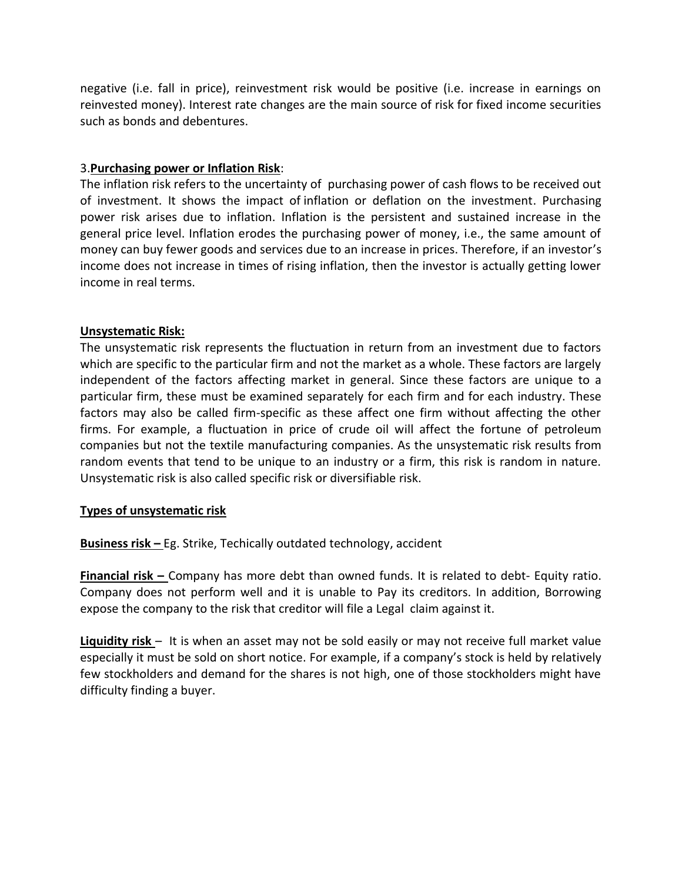negative (i.e. fall in price), reinvestment risk would be positive (i.e. increase in earnings on reinvested money). Interest rate changes are the main source of risk for fixed income securities such as bonds and debentures.

## 3.**Purchasing power or Inflation Risk**:

The inflation risk refers to the uncertainty of purchasing power of cash flows to be received out of investment. It shows the impact of inflation or deflation on the investment. Purchasing power risk arises due to inflation. Inflation is the persistent and sustained increase in the general price level. Inflation erodes the purchasing power of money, i.e., the same amount of money can buy fewer goods and services due to an increase in prices. Therefore, if an investor's income does not increase in times of rising inflation, then the investor is actually getting lower income in real terms.

## **Unsystematic Risk:**

The unsystematic risk represents the fluctuation in return from an investment due to factors which are specific to the particular firm and not the market as a whole. These factors are largely independent of the factors affecting market in general. Since these factors are unique to a particular firm, these must be examined separately for each firm and for each industry. These factors may also be called firm-specific as these affect one firm without affecting the other firms. For example, a fluctuation in price of crude oil will affect the fortune of petroleum companies but not the textile manufacturing companies. As the unsystematic risk results from random events that tend to be unique to an industry or a firm, this risk is random in nature. Unsystematic risk is also called specific risk or diversifiable risk.

## **Types of unsystematic risk**

**Business risk –** Eg. Strike, Techically outdated technology, accident

**Financial risk –** Company has more debt than owned funds. It is related to debt- Equity ratio. Company does not perform well and it is unable to Pay its creditors. In addition, Borrowing expose the company to the risk that creditor will file a Legal claim against it.

**Liquidity risk** – It is when an asset may not be sold easily or may not receive full market value especially it must be sold on short notice. For example, if a company's stock is held by relatively few stockholders and demand for the shares is not high, one of those stockholders might have difficulty finding a buyer.